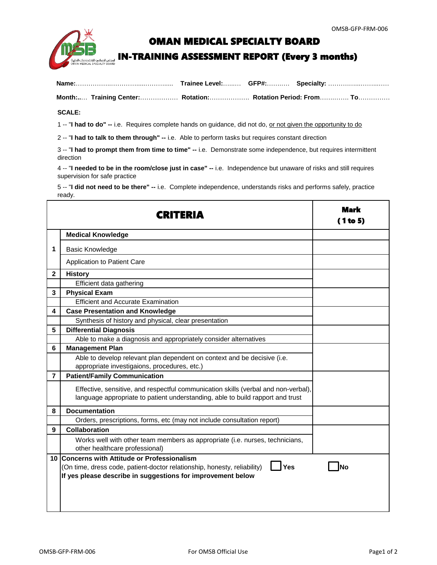

## OMAN MEDICAL SPECIALTY BOARD

## IN-TRAINING ASSESSMENT REPORT (Every 3 months)

|  |  |  | Month: Training Center: Rotation: Rotation Period: From To |
|--|--|--|------------------------------------------------------------|

## **SCALE:**

1 -- "**I had to do" --** i.e. Requires complete hands on guidance, did not do, or not given the opportunity to do

2 -- "**I had to talk to them through" --** i.e. Able to perform tasks but requires constant direction

3 -- "**I had to prompt them from time to time" --** i.e. Demonstrate some independence, but requires intermittent direction

4 -- "**I needed to be in the room/close just in case" --** i.e. Independence but unaware of risks and still requires supervision for safe practice

5 -- "**I did not need to be there" --** i.e. Complete independence, understands risks and performs safely, practice ready.

|                | RHER                                                                                                                                                                 | <b>Mark</b><br>(1 to 5) |
|----------------|----------------------------------------------------------------------------------------------------------------------------------------------------------------------|-------------------------|
|                | <b>Medical Knowledge</b>                                                                                                                                             |                         |
| 1              | <b>Basic Knowledge</b>                                                                                                                                               |                         |
|                | <b>Application to Patient Care</b>                                                                                                                                   |                         |
| $\mathbf{2}$   | <b>History</b>                                                                                                                                                       |                         |
|                | Efficient data gathering                                                                                                                                             |                         |
| 3              | <b>Physical Exam</b>                                                                                                                                                 |                         |
|                | <b>Efficient and Accurate Examination</b>                                                                                                                            |                         |
| 4              | <b>Case Presentation and Knowledge</b>                                                                                                                               |                         |
|                | Synthesis of history and physical, clear presentation                                                                                                                |                         |
| 5              | <b>Differential Diagnosis</b>                                                                                                                                        |                         |
|                | Able to make a diagnosis and appropriately consider alternatives                                                                                                     |                         |
| 6              | <b>Management Plan</b>                                                                                                                                               |                         |
|                | Able to develop relevant plan dependent on context and be decisive (i.e.<br>appropriate investigaions, procedures, etc.)                                             |                         |
| $\overline{7}$ | <b>Patient/Family Communication</b>                                                                                                                                  |                         |
|                | Effective, sensitive, and respectful communication skills (verbal and non-verbal),<br>language appropriate to patient understanding, able to build rapport and trust |                         |
| 8              | <b>Documentation</b>                                                                                                                                                 |                         |
|                | Orders, prescriptions, forms, etc (may not include consultation report)                                                                                              |                         |
| 9              | <b>Collaboration</b>                                                                                                                                                 |                         |
|                | Works well with other team members as appropriate (i.e. nurses, technicians,<br>other healthcare professional)                                                       |                         |
|                | 10 Concerns with Attitude or Professionalism                                                                                                                         |                         |
|                | Yes<br>(On time, dress code, patient-doctor relationship, honesty, reliability)                                                                                      | Nο                      |
|                | If yes please describe in suggestions for improvement below                                                                                                          |                         |
|                |                                                                                                                                                                      |                         |
|                |                                                                                                                                                                      |                         |
|                |                                                                                                                                                                      |                         |